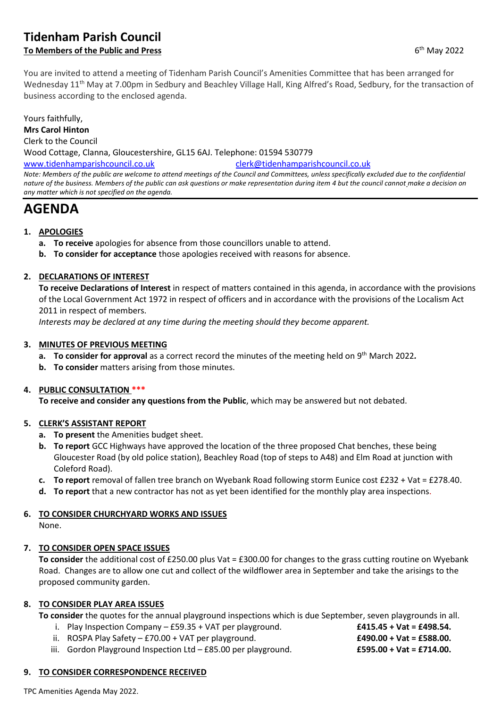# **Tidenham Parish Council**

# **To Members of the Public and Press**

You are invited to attend a meeting of Tidenham Parish Council's Amenities Committee that has been arranged for Wednesday 11<sup>th</sup> May at 7.00pm in Sedbury and Beachley Village Hall, King Alfred's Road, Sedbury, for the transaction of business according to the enclosed agenda.

## Yours faithfully,

**Mrs Carol Hinton**

Clerk to the Council

Wood Cottage, Clanna, Gloucestershire, GL15 6AJ. Telephone: 01594 530779

[www.tidenhamparishcouncil.co.uk](http://www.tidenhamparishcouncil.co.uk/) [clerk@tidenhamparishcouncil.co.uk](mailto:clerk@tidenhamparishcouncil.co.uk) *Note: Members of the public are welcome to attend meetings of the Council and Committees, unless specifically excluded due to the confidential nature of the business. Members of the public can ask questions or make representation during item 4 but the council cannot make a decision on any matter which is not specified on the agenda.*

# **AGENDA**

# **1. APOLOGIES**

- **a. To receive** apologies for absence from those councillors unable to attend.
- **b. To consider for acceptance** those apologies received with reasons for absence.

### **2. DECLARATIONS OF INTEREST**

**To receive Declarations of Interest** in respect of matters contained in this agenda, in accordance with the provisions of the Local Government Act 1972 in respect of officers and in accordance with the provisions of the Localism Act 2011 in respect of members.

*Interests may be declared at any time during the meeting should they become apparent.*

### **3. MINUTES OF PREVIOUS MEETING**

- **a. To consider for approval** as a correct record the minutes of the meeting held on 9 th March 2022*.*
- **b. To consider** matters arising from those minutes.

### **4. PUBLIC CONSULTATION \*\*\***

**To receive and consider any questions from the Public**, which may be answered but not debated.

### **5. CLERK'S ASSISTANT REPORT**

- **a. To present** the Amenities budget sheet.
- **b. To report** GCC Highways have approved the location of the three proposed Chat benches, these being Gloucester Road (by old police station), Beachley Road (top of steps to A48) and Elm Road at junction with Coleford Road).
- **c. To report** removal of fallen tree branch on Wyebank Road following storm Eunice cost £232 + Vat = £278.40.
- **d. To report** that a new contractor has not as yet been identified for the monthly play area inspections.

### **6. TO CONSIDER CHURCHYARD WORKS AND ISSUES**

None.

### **7. TO CONSIDER OPEN SPACE ISSUES**

**To consider** the additional cost of £250.00 plus Vat = £300.00 for changes to the grass cutting routine on Wyebank Road. Changes are to allow one cut and collect of the wildflower area in September and take the arisings to the proposed community garden.

### **8. TO CONSIDER PLAY AREA ISSUES**

- **To consider** the quotes for the annual playground inspections which is due September, seven playgrounds in all.
	- i. Play Inspection Company £59.35 + VAT per playground. **£415.45 + Vat = £498.54.**
	- ii. ROSPA Play Safety £70.00 + VAT per playground. **£490.00 + Vat = £588.00.**
	- iii. Gordon Playground Inspection Ltd £85.00 per playground. **£595.00 + Vat = £714.00.**

### **9. TO CONSIDER CORRESPONDENCE RECEIVED**

TPC Amenities Agenda May 2022.